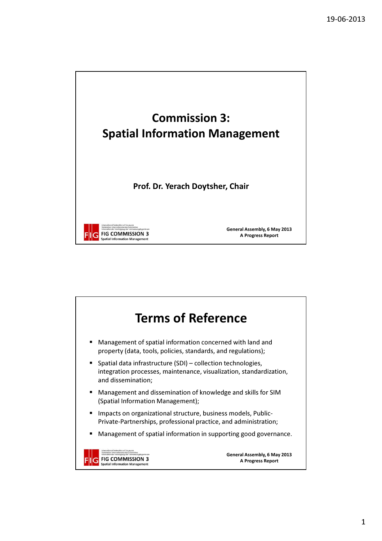

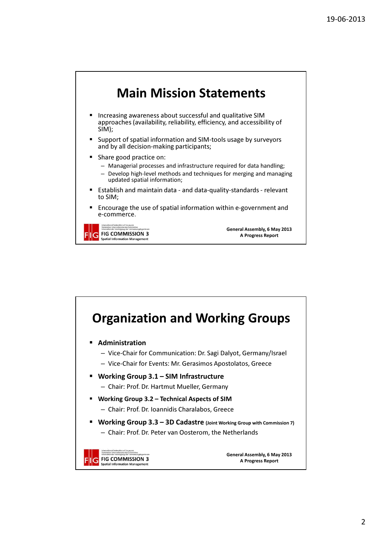

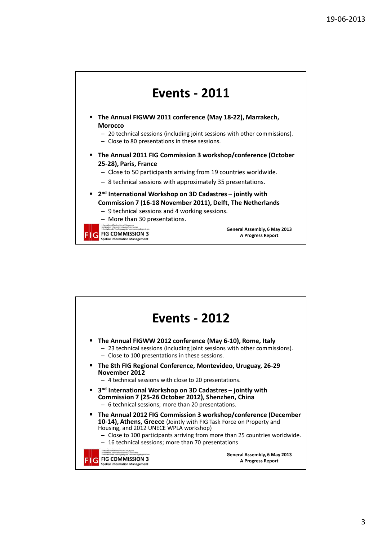



3